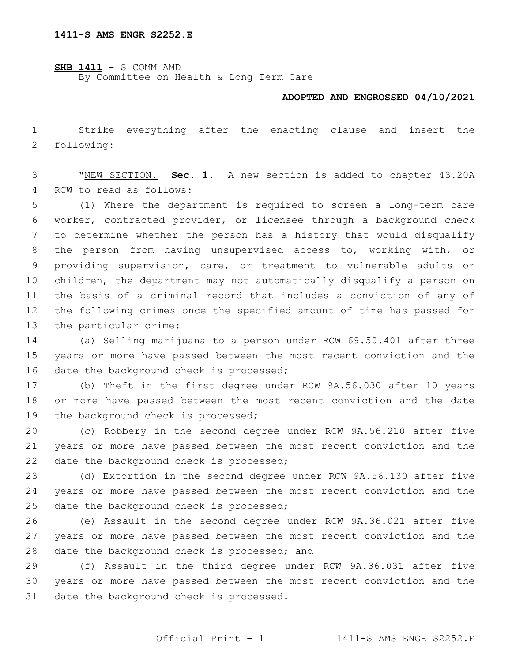**SHB 1411** - S COMM AMD By Committee on Health & Long Term Care

## **ADOPTED AND ENGROSSED 04/10/2021**

 Strike everything after the enacting clause and insert the 2 following:

 "NEW SECTION. **Sec. 1.** A new section is added to chapter 43.20A 4 RCW to read as follows:

 (1) Where the department is required to screen a long-term care worker, contracted provider, or licensee through a background check to determine whether the person has a history that would disqualify the person from having unsupervised access to, working with, or providing supervision, care, or treatment to vulnerable adults or children, the department may not automatically disqualify a person on the basis of a criminal record that includes a conviction of any of the following crimes once the specified amount of time has passed for 13 the particular crime:

 (a) Selling marijuana to a person under RCW 69.50.401 after three years or more have passed between the most recent conviction and the 16 date the background check is processed;

 (b) Theft in the first degree under RCW 9A.56.030 after 10 years or more have passed between the most recent conviction and the date 19 the background check is processed;

 (c) Robbery in the second degree under RCW 9A.56.210 after five years or more have passed between the most recent conviction and the 22 date the background check is processed;

 (d) Extortion in the second degree under RCW 9A.56.130 after five years or more have passed between the most recent conviction and the 25 date the background check is processed;

 (e) Assault in the second degree under RCW 9A.36.021 after five years or more have passed between the most recent conviction and the 28 date the background check is processed; and

 (f) Assault in the third degree under RCW 9A.36.031 after five years or more have passed between the most recent conviction and the 31 date the background check is processed.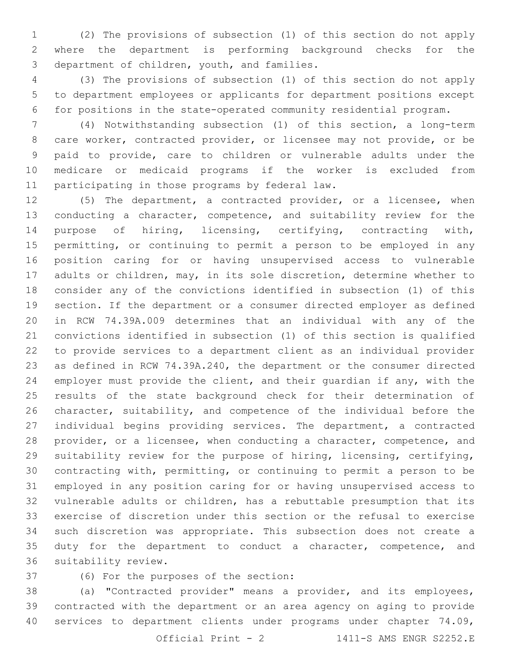(2) The provisions of subsection (1) of this section do not apply where the department is performing background checks for the 3 department of children, youth, and families.

 (3) The provisions of subsection (1) of this section do not apply to department employees or applicants for department positions except for positions in the state-operated community residential program.

 (4) Notwithstanding subsection (1) of this section, a long-term care worker, contracted provider, or licensee may not provide, or be paid to provide, care to children or vulnerable adults under the medicare or medicaid programs if the worker is excluded from 11 participating in those programs by federal law.

 (5) The department, a contracted provider, or a licensee, when 13 conducting a character, competence, and suitability review for the purpose of hiring, licensing, certifying, contracting with, permitting, or continuing to permit a person to be employed in any position caring for or having unsupervised access to vulnerable adults or children, may, in its sole discretion, determine whether to consider any of the convictions identified in subsection (1) of this section. If the department or a consumer directed employer as defined in RCW 74.39A.009 determines that an individual with any of the convictions identified in subsection (1) of this section is qualified to provide services to a department client as an individual provider as defined in RCW 74.39A.240, the department or the consumer directed employer must provide the client, and their guardian if any, with the results of the state background check for their determination of character, suitability, and competence of the individual before the individual begins providing services. The department, a contracted provider, or a licensee, when conducting a character, competence, and suitability review for the purpose of hiring, licensing, certifying, contracting with, permitting, or continuing to permit a person to be employed in any position caring for or having unsupervised access to vulnerable adults or children, has a rebuttable presumption that its exercise of discretion under this section or the refusal to exercise such discretion was appropriate. This subsection does not create a 35 duty for the department to conduct a character, competence, and 36 suitability review.

37 (6) For the purposes of the section:

 (a) "Contracted provider" means a provider, and its employees, contracted with the department or an area agency on aging to provide services to department clients under programs under chapter 74.09,

Official Print - 2 1411-S AMS ENGR S2252.E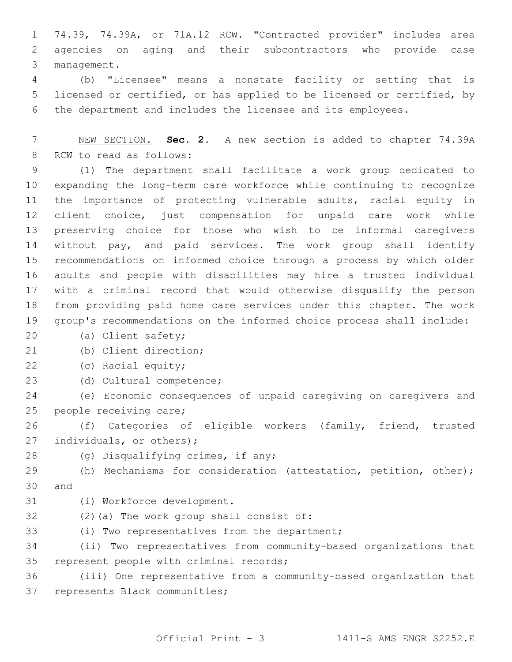1 74.39, 74.39A, or 71A.12 RCW. "Contracted provider" includes area 2 agencies on aging and their subcontractors who provide case 3 management.

4 (b) "Licensee" means a nonstate facility or setting that is 5 licensed or certified, or has applied to be licensed or certified, by 6 the department and includes the licensee and its employees.

7 NEW SECTION. **Sec. 2.** A new section is added to chapter 74.39A 8 RCW to read as follows:

 (1) The department shall facilitate a work group dedicated to expanding the long-term care workforce while continuing to recognize the importance of protecting vulnerable adults, racial equity in client choice, just compensation for unpaid care work while preserving choice for those who wish to be informal caregivers without pay, and paid services. The work group shall identify recommendations on informed choice through a process by which older adults and people with disabilities may hire a trusted individual with a criminal record that would otherwise disqualify the person from providing paid home care services under this chapter. The work group's recommendations on the informed choice process shall include:

- 20 (a) Client safety;
- (b) Client direction;21
- 22 (c) Racial equity;
- 23 (d) Cultural competence;

24 (e) Economic consequences of unpaid caregiving on caregivers and 25 people receiving care;

26 (f) Categories of eligible workers (family, friend, trusted 27 individuals, or others);

- 
- 28 (g) Disqualifying crimes, if any;

29 (h) Mechanisms for consideration (attestation, petition, other); 30 and

- 
- 31 (i) Workforce development.
- 32 (2)(a) The work group shall consist of:
- 33 (i) Two representatives from the department;

34 (ii) Two representatives from community-based organizations that 35 represent people with criminal records;

36 (iii) One representative from a community-based organization that 37 represents Black communities;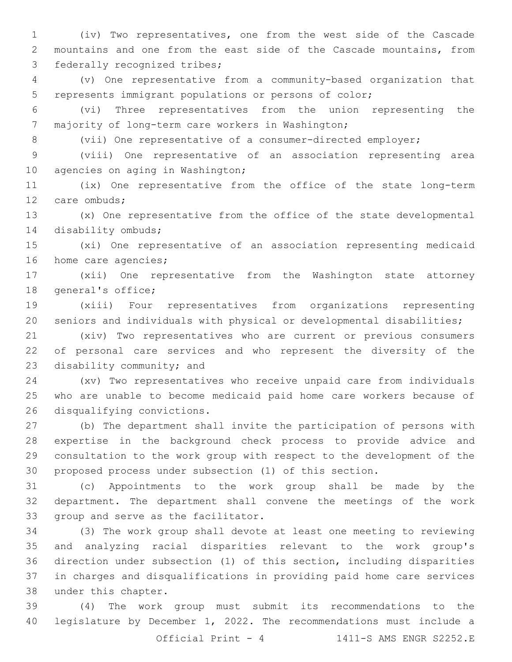(iv) Two representatives, one from the west side of the Cascade mountains and one from the east side of the Cascade mountains, from 3 federally recognized tribes;

 (v) One representative from a community-based organization that represents immigrant populations or persons of color;

 (vi) Three representatives from the union representing the 7 majority of long-term care workers in Washington;

(vii) One representative of a consumer-directed employer;

 (viii) One representative of an association representing area 10 agencies on aging in Washington;

 (ix) One representative from the office of the state long-term 12 care ombuds;

 (x) One representative from the office of the state developmental 14 disability ombuds;

 (xi) One representative of an association representing medicaid 16 home care agencies;

 (xii) One representative from the Washington state attorney 18 general's office;

 (xiii) Four representatives from organizations representing seniors and individuals with physical or developmental disabilities;

 (xiv) Two representatives who are current or previous consumers of personal care services and who represent the diversity of the 23 disability community; and

 (xv) Two representatives who receive unpaid care from individuals who are unable to become medicaid paid home care workers because of 26 disqualifying convictions.

 (b) The department shall invite the participation of persons with expertise in the background check process to provide advice and consultation to the work group with respect to the development of the proposed process under subsection (1) of this section.

 (c) Appointments to the work group shall be made by the department. The department shall convene the meetings of the work 33 group and serve as the facilitator.

 (3) The work group shall devote at least one meeting to reviewing and analyzing racial disparities relevant to the work group's direction under subsection (1) of this section, including disparities in charges and disqualifications in providing paid home care services 38 under this chapter.

 (4) The work group must submit its recommendations to the legislature by December 1, 2022. The recommendations must include a

Official Print - 4 1411-S AMS ENGR S2252.E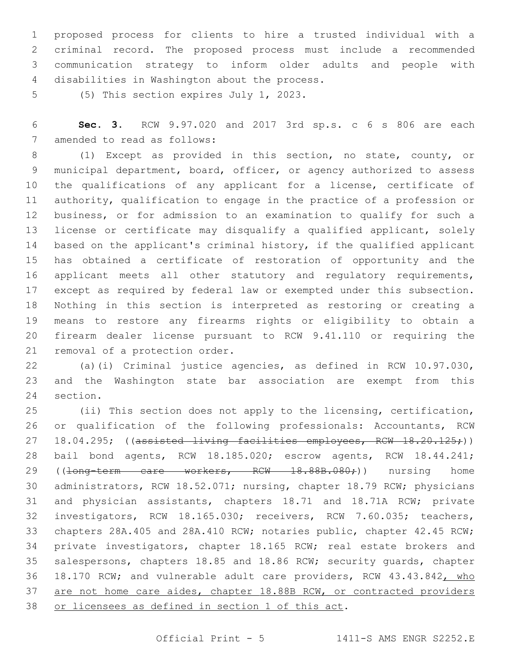proposed process for clients to hire a trusted individual with a criminal record. The proposed process must include a recommended communication strategy to inform older adults and people with 4 disabilities in Washington about the process.

5 (5) This section expires July 1, 2023.

 **Sec. 3.** RCW 9.97.020 and 2017 3rd sp.s. c 6 s 806 are each 7 amended to read as follows:

 (1) Except as provided in this section, no state, county, or municipal department, board, officer, or agency authorized to assess the qualifications of any applicant for a license, certificate of authority, qualification to engage in the practice of a profession or business, or for admission to an examination to qualify for such a license or certificate may disqualify a qualified applicant, solely based on the applicant's criminal history, if the qualified applicant has obtained a certificate of restoration of opportunity and the applicant meets all other statutory and regulatory requirements, except as required by federal law or exempted under this subsection. Nothing in this section is interpreted as restoring or creating a means to restore any firearms rights or eligibility to obtain a firearm dealer license pursuant to RCW 9.41.110 or requiring the 21 removal of a protection order.

 (a)(i) Criminal justice agencies, as defined in RCW 10.97.030, and the Washington state bar association are exempt from this 24 section.

 (ii) This section does not apply to the licensing, certification, or qualification of the following professionals: Accountants, RCW 27 18.04.295; ((assisted living facilities employees, RCW 18.20.125;)) bail bond agents, RCW 18.185.020; escrow agents, RCW 18.44.241; 29 ((<del>long-term care workers, RCW 18.88B.080;</del>)) nursing home administrators, RCW 18.52.071; nursing, chapter 18.79 RCW; physicians and physician assistants, chapters 18.71 and 18.71A RCW; private investigators, RCW 18.165.030; receivers, RCW 7.60.035; teachers, chapters 28A.405 and 28A.410 RCW; notaries public, chapter 42.45 RCW; private investigators, chapter 18.165 RCW; real estate brokers and salespersons, chapters 18.85 and 18.86 RCW; security guards, chapter 36 18.170 RCW; and vulnerable adult care providers, RCW 43.43.842, who are not home care aides, chapter 18.88B RCW, or contracted providers 38 or licensees as defined in section 1 of this act.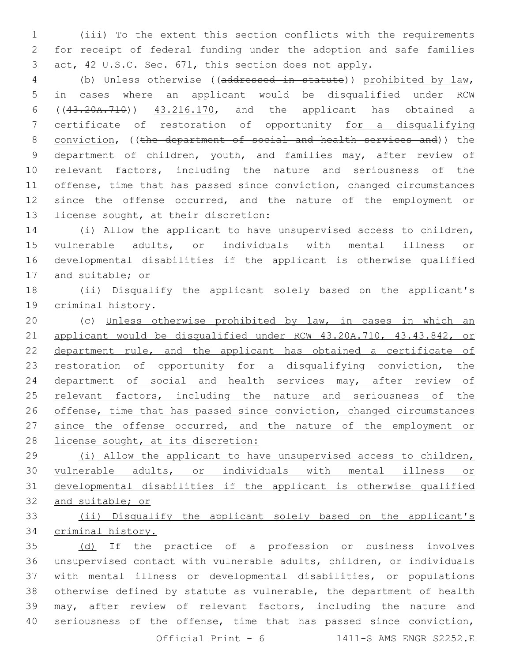(iii) To the extent this section conflicts with the requirements for receipt of federal funding under the adoption and safe families act, 42 U.S.C. Sec. 671, this section does not apply.

 (b) Unless otherwise ((addressed in statute)) prohibited by law, in cases where an applicant would be disqualified under RCW ((43.20A.710)) 43.216.170, and the applicant has obtained a certificate of restoration of opportunity for a disqualifying 8 conviction, ((the department of social and health services and)) the 9 department of children, youth, and families may, after review of relevant factors, including the nature and seriousness of the offense, time that has passed since conviction, changed circumstances since the offense occurred, and the nature of the employment or 13 license sought, at their discretion:

 (i) Allow the applicant to have unsupervised access to children, vulnerable adults, or individuals with mental illness or developmental disabilities if the applicant is otherwise qualified 17 and suitable; or

 (ii) Disqualify the applicant solely based on the applicant's 19 criminal history.

 (c) Unless otherwise prohibited by law, in cases in which an applicant would be disqualified under RCW 43.20A.710, 43.43.842, or department rule, and the applicant has obtained a certificate of 23 restoration of opportunity for a disqualifying conviction, the 24 department of social and health services may, after review of 25 relevant factors, including the nature and seriousness of the 26 offense, time that has passed since conviction, changed circumstances 27 since the offense occurred, and the nature of the employment or 28 license sought, at its discretion:

 (i) Allow the applicant to have unsupervised access to children, vulnerable adults, or individuals with mental illness or developmental disabilities if the applicant is otherwise qualified and suitable; or

 (ii) Disqualify the applicant solely based on the applicant's criminal history.

 (d) If the practice of a profession or business involves unsupervised contact with vulnerable adults, children, or individuals with mental illness or developmental disabilities, or populations otherwise defined by statute as vulnerable, the department of health may, after review of relevant factors, including the nature and seriousness of the offense, time that has passed since conviction,

Official Print - 6 1411-S AMS ENGR S2252.E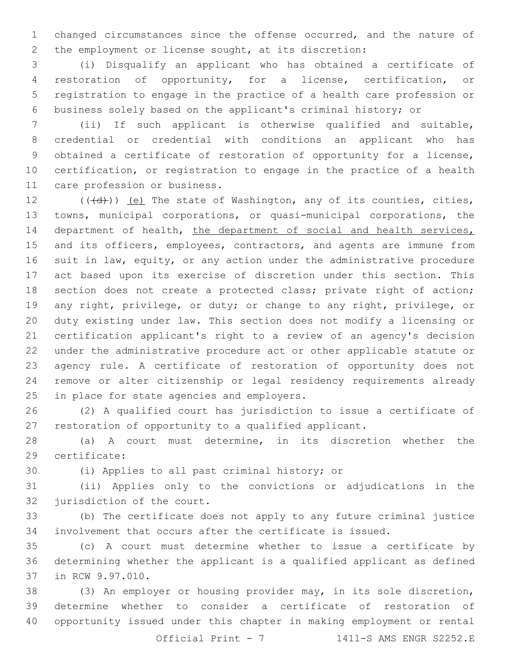changed circumstances since the offense occurred, and the nature of the employment or license sought, at its discretion:

 (i) Disqualify an applicant who has obtained a certificate of restoration of opportunity, for a license, certification, or registration to engage in the practice of a health care profession or business solely based on the applicant's criminal history; or

 (ii) If such applicant is otherwise qualified and suitable, credential or credential with conditions an applicant who has obtained a certificate of restoration of opportunity for a license, certification, or registration to engage in the practice of a health 11 care profession or business.

 $((\{d\})$  (e) The state of Washington, any of its counties, cities, towns, municipal corporations, or quasi-municipal corporations, the 14 department of health, the department of social and health services, 15 and its officers, employees, contractors, and agents are immune from suit in law, equity, or any action under the administrative procedure act based upon its exercise of discretion under this section. This 18 section does not create a protected class; private right of action; any right, privilege, or duty; or change to any right, privilege, or duty existing under law. This section does not modify a licensing or certification applicant's right to a review of an agency's decision under the administrative procedure act or other applicable statute or agency rule. A certificate of restoration of opportunity does not remove or alter citizenship or legal residency requirements already 25 in place for state agencies and employers.

 (2) A qualified court has jurisdiction to issue a certificate of restoration of opportunity to a qualified applicant.

 (a) A court must determine, in its discretion whether the 29 certificate:

30 (i) Applies to all past criminal history; or

 (ii) Applies only to the convictions or adjudications in the 32 jurisdiction of the court.

 (b) The certificate does not apply to any future criminal justice involvement that occurs after the certificate is issued.

 (c) A court must determine whether to issue a certificate by determining whether the applicant is a qualified applicant as defined 37 in RCW 9.97.010.

 (3) An employer or housing provider may, in its sole discretion, determine whether to consider a certificate of restoration of opportunity issued under this chapter in making employment or rental

Official Print - 7 1411-S AMS ENGR S2252.E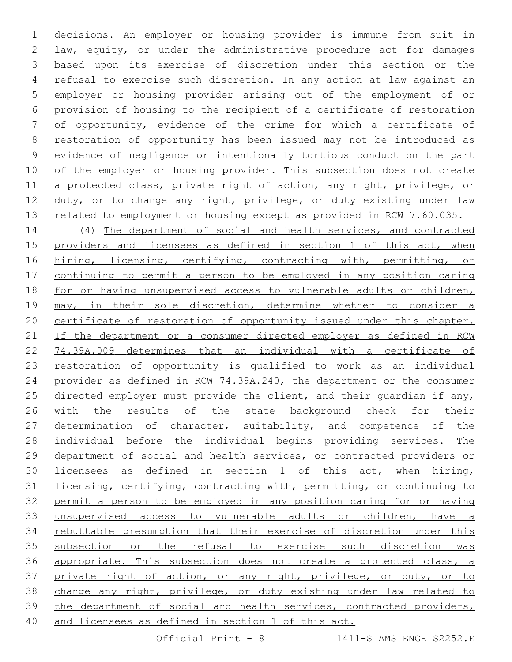decisions. An employer or housing provider is immune from suit in law, equity, or under the administrative procedure act for damages based upon its exercise of discretion under this section or the refusal to exercise such discretion. In any action at law against an employer or housing provider arising out of the employment of or provision of housing to the recipient of a certificate of restoration of opportunity, evidence of the crime for which a certificate of restoration of opportunity has been issued may not be introduced as evidence of negligence or intentionally tortious conduct on the part of the employer or housing provider. This subsection does not create a protected class, private right of action, any right, privilege, or duty, or to change any right, privilege, or duty existing under law related to employment or housing except as provided in RCW 7.60.035.

 (4) The department of social and health services, and contracted providers and licensees as defined in section 1 of this act, when 16 hiring, licensing, certifying, contracting with, permitting, or continuing to permit a person to be employed in any position caring for or having unsupervised access to vulnerable adults or children, 19 may, in their sole discretion, determine whether to consider a certificate of restoration of opportunity issued under this chapter. 21 If the department or a consumer directed employer as defined in RCW 74.39A.009 determines that an individual with a certificate of restoration of opportunity is qualified to work as an individual provider as defined in RCW 74.39A.240, the department or the consumer 25 directed employer must provide the client, and their quardian if any, 26 with the results of the state background check for their 27 determination of character, suitability, and competence of the individual before the individual begins providing services. The department of social and health services, or contracted providers or licensees as defined in section 1 of this act, when hiring, licensing, certifying, contracting with, permitting, or continuing to permit a person to be employed in any position caring for or having unsupervised access to vulnerable adults or children, have a rebuttable presumption that their exercise of discretion under this subsection or the refusal to exercise such discretion was appropriate. This subsection does not create a protected class, a private right of action, or any right, privilege, or duty, or to change any right, privilege, or duty existing under law related to 39 the department of social and health services, contracted providers, and licensees as defined in section 1 of this act.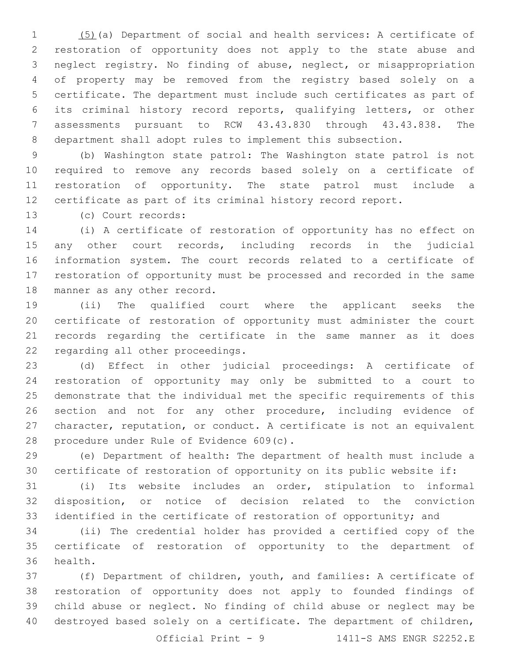(5)(a) Department of social and health services: A certificate of restoration of opportunity does not apply to the state abuse and neglect registry. No finding of abuse, neglect, or misappropriation of property may be removed from the registry based solely on a certificate. The department must include such certificates as part of its criminal history record reports, qualifying letters, or other assessments pursuant to RCW 43.43.830 through 43.43.838. The department shall adopt rules to implement this subsection.

 (b) Washington state patrol: The Washington state patrol is not required to remove any records based solely on a certificate of restoration of opportunity. The state patrol must include a certificate as part of its criminal history record report.

(c) Court records:13

 (i) A certificate of restoration of opportunity has no effect on any other court records, including records in the judicial information system. The court records related to a certificate of restoration of opportunity must be processed and recorded in the same 18 manner as any other record.

 (ii) The qualified court where the applicant seeks the certificate of restoration of opportunity must administer the court records regarding the certificate in the same manner as it does 22 regarding all other proceedings.

 (d) Effect in other judicial proceedings: A certificate of restoration of opportunity may only be submitted to a court to demonstrate that the individual met the specific requirements of this 26 section and not for any other procedure, including evidence of character, reputation, or conduct. A certificate is not an equivalent 28 procedure under Rule of Evidence 609(c).

 (e) Department of health: The department of health must include a certificate of restoration of opportunity on its public website if:

 (i) Its website includes an order, stipulation to informal disposition, or notice of decision related to the conviction identified in the certificate of restoration of opportunity; and

 (ii) The credential holder has provided a certified copy of the certificate of restoration of opportunity to the department of 36 health.

 (f) Department of children, youth, and families: A certificate of restoration of opportunity does not apply to founded findings of child abuse or neglect. No finding of child abuse or neglect may be destroyed based solely on a certificate. The department of children,

Official Print - 9 1411-S AMS ENGR S2252.E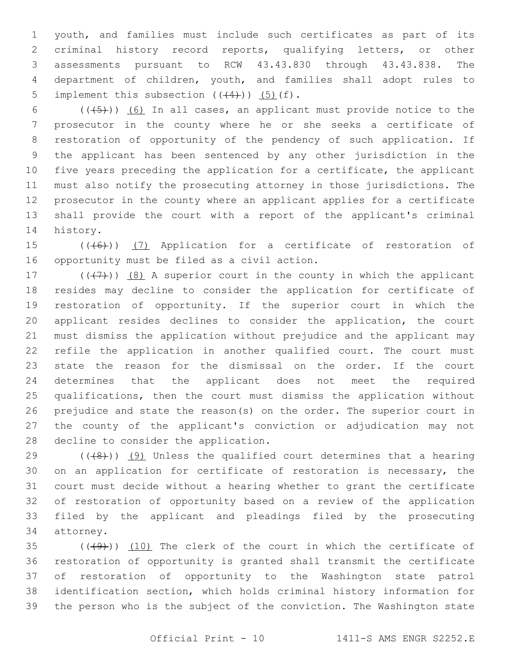youth, and families must include such certificates as part of its criminal history record reports, qualifying letters, or other assessments pursuant to RCW 43.43.830 through 43.43.838. The department of children, youth, and families shall adopt rules to 5 implement this subsection  $((+4))$   $(5)$   $(f)$ .

 $((+5))$  (6) In all cases, an applicant must provide notice to the prosecutor in the county where he or she seeks a certificate of restoration of opportunity of the pendency of such application. If the applicant has been sentenced by any other jurisdiction in the five years preceding the application for a certificate, the applicant must also notify the prosecuting attorney in those jurisdictions. The prosecutor in the county where an applicant applies for a certificate shall provide the court with a report of the applicant's criminal 14 history.

15 (((6)) (7) Application for a certificate of restoration of 16 opportunity must be filed as a civil action.

17 ( $(\overline{+7})$ ) (8) A superior court in the county in which the applicant resides may decline to consider the application for certificate of restoration of opportunity. If the superior court in which the applicant resides declines to consider the application, the court must dismiss the application without prejudice and the applicant may refile the application in another qualified court. The court must state the reason for the dismissal on the order. If the court determines that the applicant does not meet the required qualifications, then the court must dismiss the application without prejudice and state the reason(s) on the order. The superior court in the county of the applicant's conviction or adjudication may not 28 decline to consider the application.

 $((+8+))$   $(9)$  Unless the qualified court determines that a hearing on an application for certificate of restoration is necessary, the court must decide without a hearing whether to grant the certificate of restoration of opportunity based on a review of the application filed by the applicant and pleadings filed by the prosecuting 34 attorney.

 $(1)(49)$ ) (10) The clerk of the court in which the certificate of restoration of opportunity is granted shall transmit the certificate of restoration of opportunity to the Washington state patrol identification section, which holds criminal history information for the person who is the subject of the conviction. The Washington state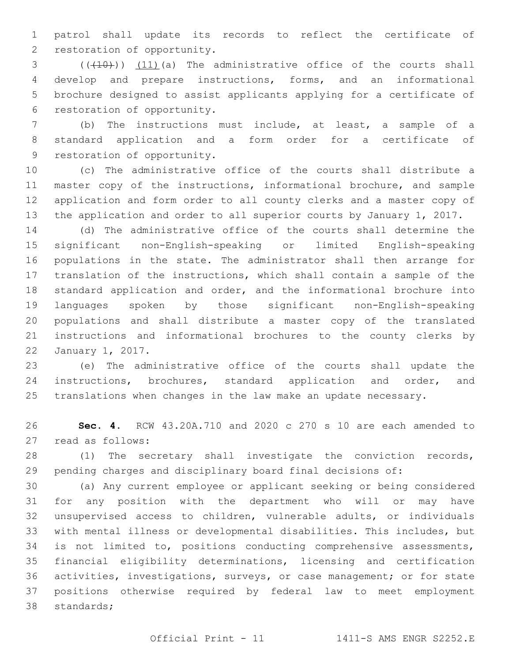patrol shall update its records to reflect the certificate of 2 restoration of opportunity.

3 (((410)) (11)(a) The administrative office of the courts shall develop and prepare instructions, forms, and an informational brochure designed to assist applicants applying for a certificate of 6 restoration of opportunity.

 (b) The instructions must include, at least, a sample of a standard application and a form order for a certificate of 9 restoration of opportunity.

 (c) The administrative office of the courts shall distribute a master copy of the instructions, informational brochure, and sample application and form order to all county clerks and a master copy of the application and order to all superior courts by January 1, 2017.

 (d) The administrative office of the courts shall determine the significant non-English-speaking or limited English-speaking populations in the state. The administrator shall then arrange for translation of the instructions, which shall contain a sample of the standard application and order, and the informational brochure into languages spoken by those significant non-English-speaking populations and shall distribute a master copy of the translated instructions and informational brochures to the county clerks by 22 January 1, 2017.

 (e) The administrative office of the courts shall update the instructions, brochures, standard application and order, and translations when changes in the law make an update necessary.

 **Sec. 4.** RCW 43.20A.710 and 2020 c 270 s 10 are each amended to 27 read as follows:

 (1) The secretary shall investigate the conviction records, pending charges and disciplinary board final decisions of:

 (a) Any current employee or applicant seeking or being considered for any position with the department who will or may have unsupervised access to children, vulnerable adults, or individuals with mental illness or developmental disabilities. This includes, but is not limited to, positions conducting comprehensive assessments, financial eligibility determinations, licensing and certification activities, investigations, surveys, or case management; or for state positions otherwise required by federal law to meet employment 38 standards;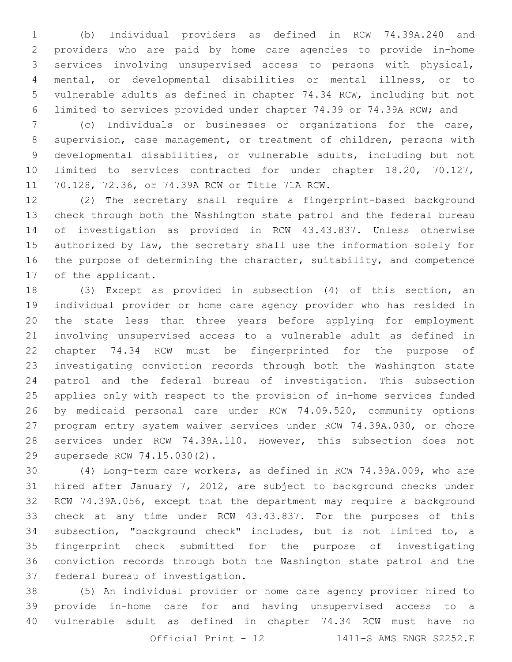(b) Individual providers as defined in RCW 74.39A.240 and providers who are paid by home care agencies to provide in-home services involving unsupervised access to persons with physical, mental, or developmental disabilities or mental illness, or to vulnerable adults as defined in chapter 74.34 RCW, including but not limited to services provided under chapter 74.39 or 74.39A RCW; and

 (c) Individuals or businesses or organizations for the care, supervision, case management, or treatment of children, persons with developmental disabilities, or vulnerable adults, including but not limited to services contracted for under chapter 18.20, 70.127, 11 70.128, 72.36, or 74.39A RCW or Title 71A RCW.

 (2) The secretary shall require a fingerprint-based background check through both the Washington state patrol and the federal bureau of investigation as provided in RCW 43.43.837. Unless otherwise authorized by law, the secretary shall use the information solely for the purpose of determining the character, suitability, and competence 17 of the applicant.

 (3) Except as provided in subsection (4) of this section, an individual provider or home care agency provider who has resided in the state less than three years before applying for employment involving unsupervised access to a vulnerable adult as defined in chapter 74.34 RCW must be fingerprinted for the purpose of investigating conviction records through both the Washington state patrol and the federal bureau of investigation. This subsection applies only with respect to the provision of in-home services funded by medicaid personal care under RCW 74.09.520, community options program entry system waiver services under RCW 74.39A.030, or chore services under RCW 74.39A.110. However, this subsection does not 29 supersede RCW 74.15.030(2).

 (4) Long-term care workers, as defined in RCW 74.39A.009, who are hired after January 7, 2012, are subject to background checks under RCW 74.39A.056, except that the department may require a background check at any time under RCW 43.43.837. For the purposes of this subsection, "background check" includes, but is not limited to, a fingerprint check submitted for the purpose of investigating conviction records through both the Washington state patrol and the 37 federal bureau of investigation.

 (5) An individual provider or home care agency provider hired to provide in-home care for and having unsupervised access to a vulnerable adult as defined in chapter 74.34 RCW must have no

Official Print - 12 1411-S AMS ENGR S2252.E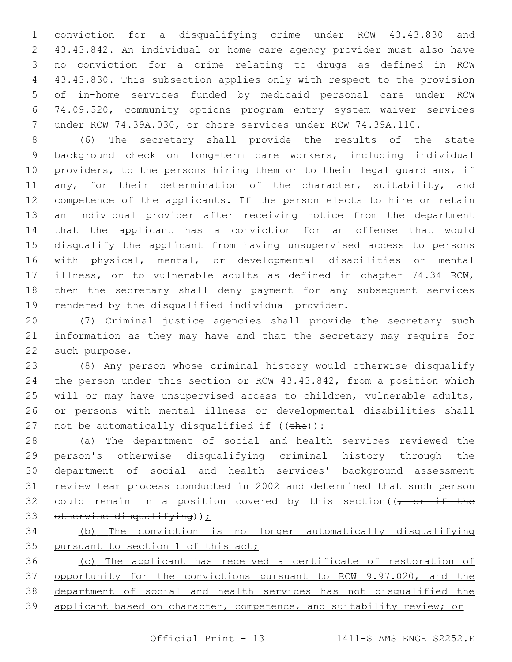conviction for a disqualifying crime under RCW 43.43.830 and 43.43.842. An individual or home care agency provider must also have no conviction for a crime relating to drugs as defined in RCW 43.43.830. This subsection applies only with respect to the provision of in-home services funded by medicaid personal care under RCW 74.09.520, community options program entry system waiver services under RCW 74.39A.030, or chore services under RCW 74.39A.110.

 (6) The secretary shall provide the results of the state background check on long-term care workers, including individual providers, to the persons hiring them or to their legal guardians, if 11 any, for their determination of the character, suitability, and competence of the applicants. If the person elects to hire or retain an individual provider after receiving notice from the department that the applicant has a conviction for an offense that would disqualify the applicant from having unsupervised access to persons with physical, mental, or developmental disabilities or mental illness, or to vulnerable adults as defined in chapter 74.34 RCW, then the secretary shall deny payment for any subsequent services 19 rendered by the disqualified individual provider.

 (7) Criminal justice agencies shall provide the secretary such information as they may have and that the secretary may require for 22 such purpose.

 (8) Any person whose criminal history would otherwise disqualify 24 the person under this section or RCW 43.43.842, from a position which will or may have unsupervised access to children, vulnerable adults, or persons with mental illness or developmental disabilities shall 27 not be  $\frac{\text{automatically}}{\text{disqualified if}}$  ((the)):

28 (a) The department of social and health services reviewed the person's otherwise disqualifying criminal history through the department of social and health services' background assessment review team process conducted in 2002 and determined that such person 32 could remain in a position covered by this section( $\sqrt{r}$  or if the 33 otherwise disqualifying));

 (b) The conviction is no longer automatically disqualifying 35 pursuant to section 1 of this act;

 (c) The applicant has received a certificate of restoration of opportunity for the convictions pursuant to RCW 9.97.020, and the department of social and health services has not disqualified the 39 applicant based on character, competence, and suitability review; or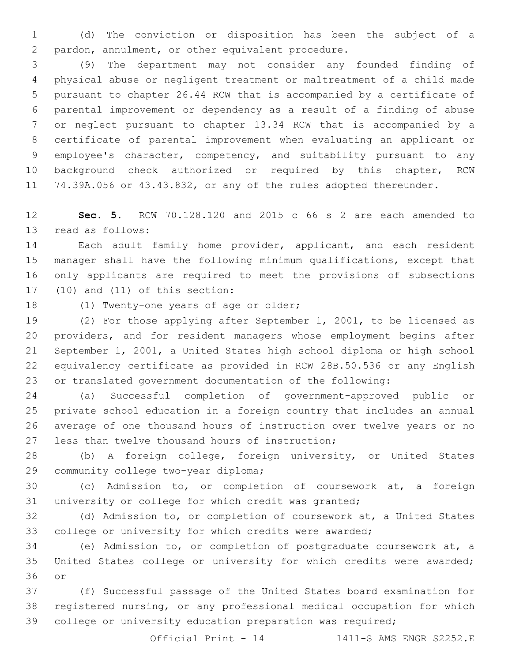(d) The conviction or disposition has been the subject of a 2 pardon, annulment, or other equivalent procedure.

 (9) The department may not consider any founded finding of physical abuse or negligent treatment or maltreatment of a child made pursuant to chapter 26.44 RCW that is accompanied by a certificate of parental improvement or dependency as a result of a finding of abuse or neglect pursuant to chapter 13.34 RCW that is accompanied by a certificate of parental improvement when evaluating an applicant or employee's character, competency, and suitability pursuant to any background check authorized or required by this chapter, RCW 74.39A.056 or 43.43.832, or any of the rules adopted thereunder.

 **Sec. 5.** RCW 70.128.120 and 2015 c 66 s 2 are each amended to 13 read as follows:

 Each adult family home provider, applicant, and each resident manager shall have the following minimum qualifications, except that only applicants are required to meet the provisions of subsections (10) and (11) of this section:

18 (1) Twenty-one years of age or older;

 (2) For those applying after September 1, 2001, to be licensed as providers, and for resident managers whose employment begins after September 1, 2001, a United States high school diploma or high school equivalency certificate as provided in RCW 28B.50.536 or any English or translated government documentation of the following:

 (a) Successful completion of government-approved public or private school education in a foreign country that includes an annual average of one thousand hours of instruction over twelve years or no 27 less than twelve thousand hours of instruction;

 (b) A foreign college, foreign university, or United States 29 community college two-year diploma;

 (c) Admission to, or completion of coursework at, a foreign university or college for which credit was granted;

 (d) Admission to, or completion of coursework at, a United States college or university for which credits were awarded;

 (e) Admission to, or completion of postgraduate coursework at, a United States college or university for which credits were awarded; 36 or

 (f) Successful passage of the United States board examination for registered nursing, or any professional medical occupation for which college or university education preparation was required;

Official Print  $-14$  1411-S AMS ENGR S2252.E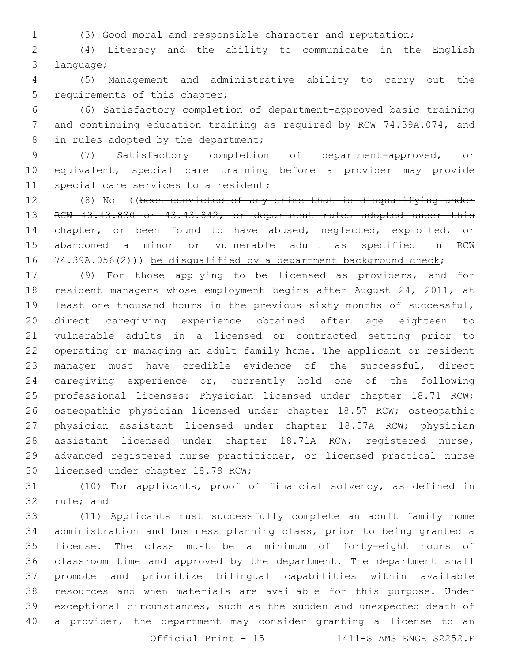(3) Good moral and responsible character and reputation;

 (4) Literacy and the ability to communicate in the English 3 language;

 (5) Management and administrative ability to carry out the 5 requirements of this chapter;

 (6) Satisfactory completion of department-approved basic training and continuing education training as required by RCW 74.39A.074, and 8 in rules adopted by the department;

 (7) Satisfactory completion of department-approved, or equivalent, special care training before a provider may provide 11 special care services to a resident;

 (8) Not ((been convicted of any crime that is disqualifying under 13 RCW 43.43.830 or 43.43.842, or department rules adopted under this 14 chapter, or been found to have abused, neglected, exploited, or abandoned a minor or vulnerable adult as specified in RCW 16 74.39A.056(2))) be disqualified by a department background check;

 (9) For those applying to be licensed as providers, and for resident managers whose employment begins after August 24, 2011, at least one thousand hours in the previous sixty months of successful, direct caregiving experience obtained after age eighteen to vulnerable adults in a licensed or contracted setting prior to operating or managing an adult family home. The applicant or resident manager must have credible evidence of the successful, direct caregiving experience or, currently hold one of the following professional licenses: Physician licensed under chapter 18.71 RCW; osteopathic physician licensed under chapter 18.57 RCW; osteopathic physician assistant licensed under chapter 18.57A RCW; physician assistant licensed under chapter 18.71A RCW; registered nurse, advanced registered nurse practitioner, or licensed practical nurse 30 licensed under chapter 18.79 RCW;

 (10) For applicants, proof of financial solvency, as defined in 32 rule; and

 (11) Applicants must successfully complete an adult family home administration and business planning class, prior to being granted a license. The class must be a minimum of forty-eight hours of classroom time and approved by the department. The department shall promote and prioritize bilingual capabilities within available resources and when materials are available for this purpose. Under exceptional circumstances, such as the sudden and unexpected death of a provider, the department may consider granting a license to an Official Print - 15 1411-S AMS ENGR S2252.E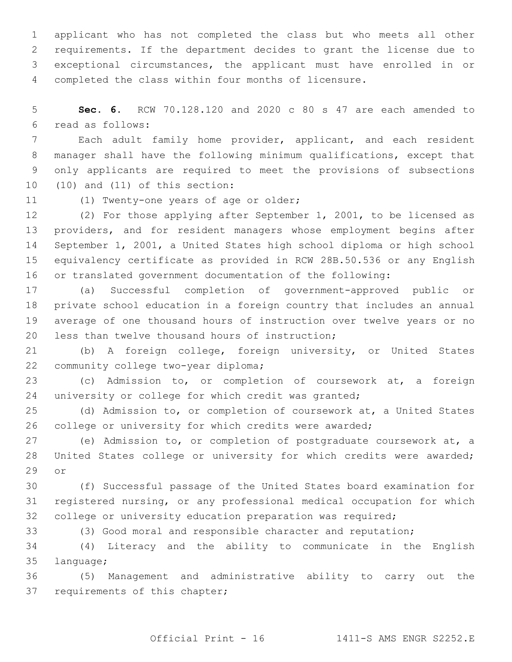applicant who has not completed the class but who meets all other requirements. If the department decides to grant the license due to exceptional circumstances, the applicant must have enrolled in or completed the class within four months of licensure.

 **Sec. 6.** RCW 70.128.120 and 2020 c 80 s 47 are each amended to read as follows:6

 Each adult family home provider, applicant, and each resident manager shall have the following minimum qualifications, except that only applicants are required to meet the provisions of subsections (10) and (11) of this section:

11 (1) Twenty-one years of age or older;

 (2) For those applying after September 1, 2001, to be licensed as providers, and for resident managers whose employment begins after September 1, 2001, a United States high school diploma or high school equivalency certificate as provided in RCW 28B.50.536 or any English or translated government documentation of the following:

 (a) Successful completion of government-approved public or private school education in a foreign country that includes an annual average of one thousand hours of instruction over twelve years or no 20 less than twelve thousand hours of instruction;

 (b) A foreign college, foreign university, or United States 22 community college two-year diploma;

 (c) Admission to, or completion of coursework at, a foreign 24 university or college for which credit was granted;

 (d) Admission to, or completion of coursework at, a United States college or university for which credits were awarded;

 (e) Admission to, or completion of postgraduate coursework at, a United States college or university for which credits were awarded; 29 or

 (f) Successful passage of the United States board examination for registered nursing, or any professional medical occupation for which college or university education preparation was required;

(3) Good moral and responsible character and reputation;

 (4) Literacy and the ability to communicate in the English 35 language;

 (5) Management and administrative ability to carry out the 37 requirements of this chapter;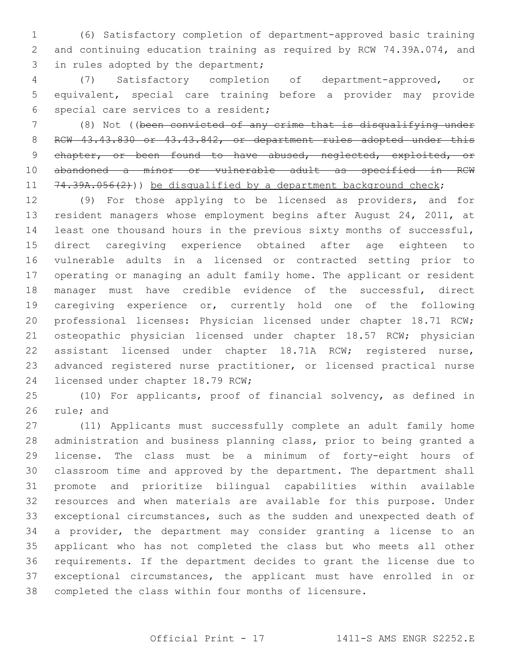(6) Satisfactory completion of department-approved basic training and continuing education training as required by RCW 74.39A.074, and 3 in rules adopted by the department;

 (7) Satisfactory completion of department-approved, or equivalent, special care training before a provider may provide 6 special care services to a resident;

 (8) Not ((been convicted of any crime that is disqualifying under 8 RCW 43.43.830 or 43.43.842, or department rules adopted under this 9 chapter, or been found to have abused, neglected, exploited, or abandoned a minor or vulnerable adult as specified in RCW 11 74.39A.056(2))) be disqualified by a department background check;

 (9) For those applying to be licensed as providers, and for resident managers whose employment begins after August 24, 2011, at least one thousand hours in the previous sixty months of successful, direct caregiving experience obtained after age eighteen to vulnerable adults in a licensed or contracted setting prior to operating or managing an adult family home. The applicant or resident manager must have credible evidence of the successful, direct caregiving experience or, currently hold one of the following professional licenses: Physician licensed under chapter 18.71 RCW; 21 osteopathic physician licensed under chapter 18.57 RCW; physician assistant licensed under chapter 18.71A RCW; registered nurse, advanced registered nurse practitioner, or licensed practical nurse 24 licensed under chapter 18.79 RCW;

 (10) For applicants, proof of financial solvency, as defined in 26 rule; and

 (11) Applicants must successfully complete an adult family home administration and business planning class, prior to being granted a license. The class must be a minimum of forty-eight hours of classroom time and approved by the department. The department shall promote and prioritize bilingual capabilities within available resources and when materials are available for this purpose. Under exceptional circumstances, such as the sudden and unexpected death of a provider, the department may consider granting a license to an applicant who has not completed the class but who meets all other requirements. If the department decides to grant the license due to exceptional circumstances, the applicant must have enrolled in or completed the class within four months of licensure.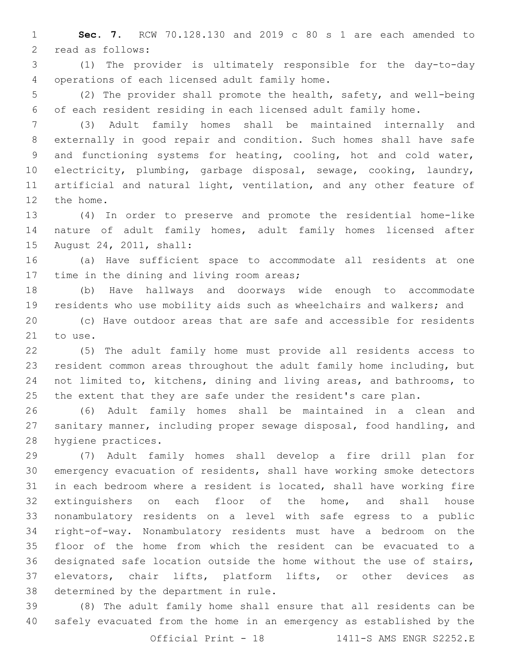**Sec. 7.** RCW 70.128.130 and 2019 c 80 s 1 are each amended to 2 read as follows:

 (1) The provider is ultimately responsible for the day-to-day 4 operations of each licensed adult family home.

 (2) The provider shall promote the health, safety, and well-being of each resident residing in each licensed adult family home.

 (3) Adult family homes shall be maintained internally and externally in good repair and condition. Such homes shall have safe and functioning systems for heating, cooling, hot and cold water, electricity, plumbing, garbage disposal, sewage, cooking, laundry, artificial and natural light, ventilation, and any other feature of 12 the home.

 (4) In order to preserve and promote the residential home-like nature of adult family homes, adult family homes licensed after 15 August 24, 2011, shall:

 (a) Have sufficient space to accommodate all residents at one 17 time in the dining and living room areas;

 (b) Have hallways and doorways wide enough to accommodate residents who use mobility aids such as wheelchairs and walkers; and

 (c) Have outdoor areas that are safe and accessible for residents 21 to use.

 (5) The adult family home must provide all residents access to resident common areas throughout the adult family home including, but not limited to, kitchens, dining and living areas, and bathrooms, to the extent that they are safe under the resident's care plan.

 (6) Adult family homes shall be maintained in a clean and sanitary manner, including proper sewage disposal, food handling, and 28 hygiene practices.

 (7) Adult family homes shall develop a fire drill plan for emergency evacuation of residents, shall have working smoke detectors in each bedroom where a resident is located, shall have working fire extinguishers on each floor of the home, and shall house nonambulatory residents on a level with safe egress to a public right-of-way. Nonambulatory residents must have a bedroom on the floor of the home from which the resident can be evacuated to a designated safe location outside the home without the use of stairs, elevators, chair lifts, platform lifts, or other devices as 38 determined by the department in rule.

 (8) The adult family home shall ensure that all residents can be safely evacuated from the home in an emergency as established by the

Official Print - 18 1411-S AMS ENGR S2252.E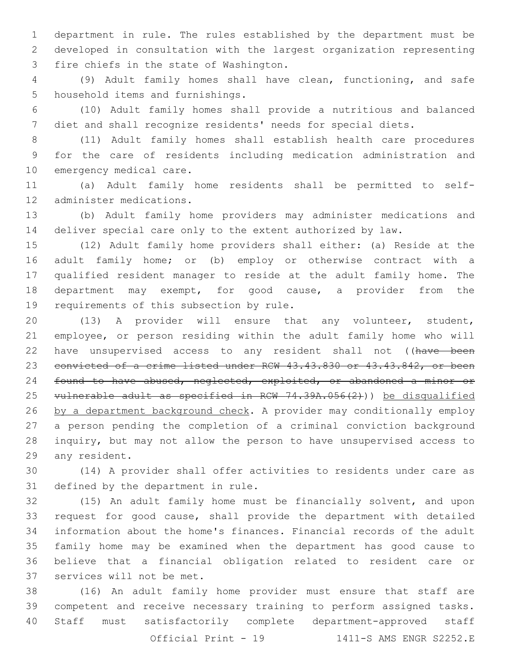department in rule. The rules established by the department must be developed in consultation with the largest organization representing 3 fire chiefs in the state of Washington.

 (9) Adult family homes shall have clean, functioning, and safe 5 household items and furnishings.

 (10) Adult family homes shall provide a nutritious and balanced diet and shall recognize residents' needs for special diets.

 (11) Adult family homes shall establish health care procedures for the care of residents including medication administration and 10 emergency medical care.

 (a) Adult family home residents shall be permitted to self-12 administer medications.

 (b) Adult family home providers may administer medications and deliver special care only to the extent authorized by law.

 (12) Adult family home providers shall either: (a) Reside at the adult family home; or (b) employ or otherwise contract with a qualified resident manager to reside at the adult family home. The 18 department may exempt, for good cause, a provider from the 19 requirements of this subsection by rule.

 (13) A provider will ensure that any volunteer, student, employee, or person residing within the adult family home who will 22 have unsupervised access to any resident shall not ((have been convicted of a crime listed under RCW 43.43.830 or 43.43.842, or been 24 found to have abused, neglected, exploited, or abandoned a minor or vulnerable adult as specified in RCW 74.39A.056(2))) be disqualified 26 by a department background check. A provider may conditionally employ a person pending the completion of a criminal conviction background inquiry, but may not allow the person to have unsupervised access to 29 any resident.

 (14) A provider shall offer activities to residents under care as 31 defined by the department in rule.

 (15) An adult family home must be financially solvent, and upon request for good cause, shall provide the department with detailed information about the home's finances. Financial records of the adult family home may be examined when the department has good cause to believe that a financial obligation related to resident care or 37 services will not be met.

 (16) An adult family home provider must ensure that staff are competent and receive necessary training to perform assigned tasks. Staff must satisfactorily complete department-approved staff Official Print - 1411-S AMS ENGR S2252.E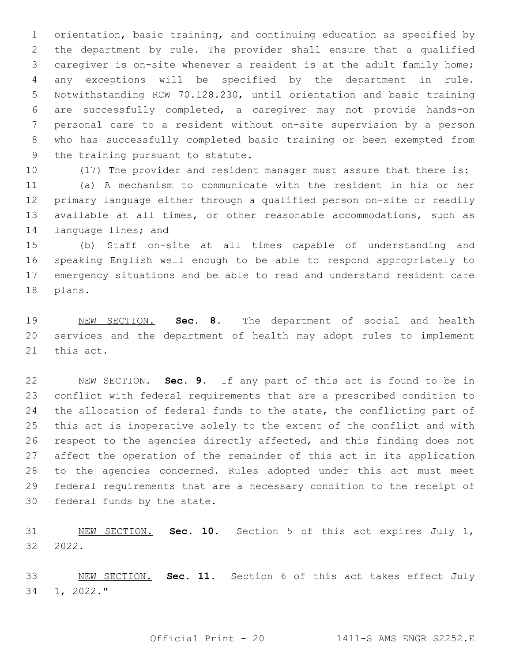orientation, basic training, and continuing education as specified by the department by rule. The provider shall ensure that a qualified caregiver is on-site whenever a resident is at the adult family home; any exceptions will be specified by the department in rule. Notwithstanding RCW 70.128.230, until orientation and basic training are successfully completed, a caregiver may not provide hands-on personal care to a resident without on-site supervision by a person who has successfully completed basic training or been exempted from 9 the training pursuant to statute.

(17) The provider and resident manager must assure that there is:

 (a) A mechanism to communicate with the resident in his or her primary language either through a qualified person on-site or readily available at all times, or other reasonable accommodations, such as 14 language lines; and

 (b) Staff on-site at all times capable of understanding and speaking English well enough to be able to respond appropriately to emergency situations and be able to read and understand resident care 18 plans.

 NEW SECTION. **Sec. 8.** The department of social and health services and the department of health may adopt rules to implement this act.

 NEW SECTION. **Sec. 9.** If any part of this act is found to be in conflict with federal requirements that are a prescribed condition to the allocation of federal funds to the state, the conflicting part of this act is inoperative solely to the extent of the conflict and with respect to the agencies directly affected, and this finding does not affect the operation of the remainder of this act in its application to the agencies concerned. Rules adopted under this act must meet federal requirements that are a necessary condition to the receipt of federal funds by the state.

 NEW SECTION. **Sec. 10.** Section 5 of this act expires July 1, 2022.

 NEW SECTION. **Sec. 11.** Section 6 of this act takes effect July 1, 2022."